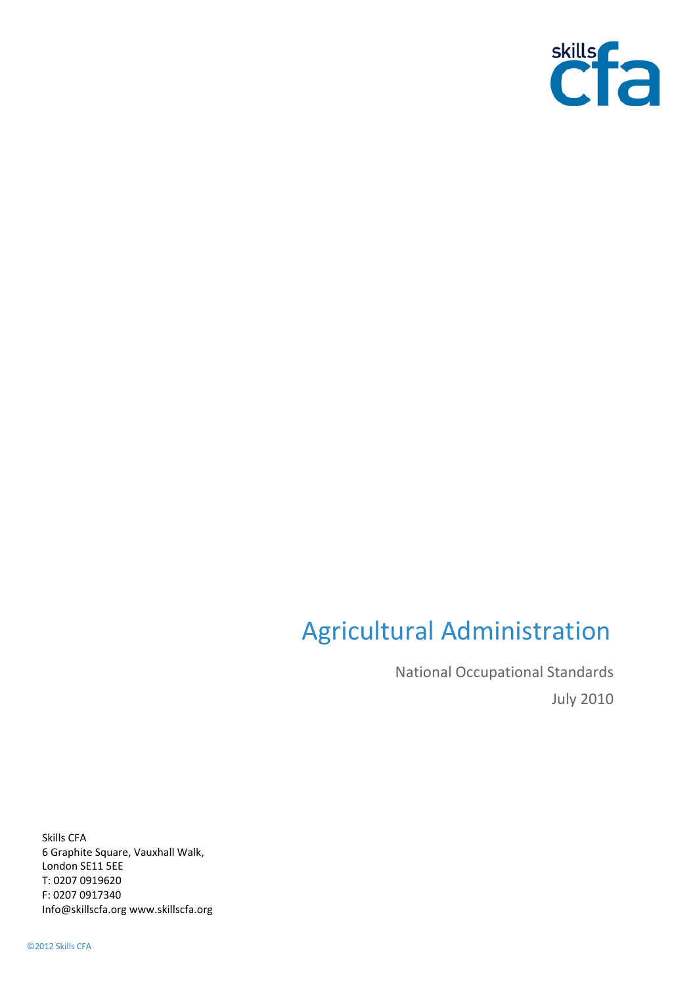

# Agricultural Administration

National Occupational Standards July 2010

Skills CFA 6 Graphite Square, Vauxhall Walk, London SE11 5EE T: 0207 0919620 F: 0207 0917340 Info@skillscfa.org www.skillscfa.org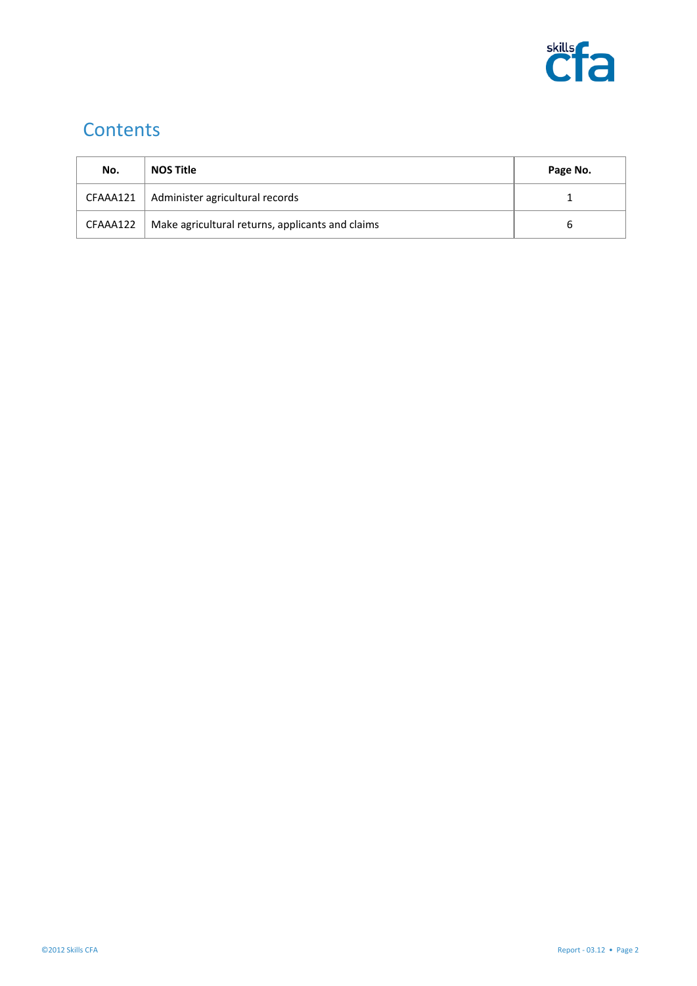

# **Contents**

| No.      | <b>NOS Title</b>                                 | Page No. |
|----------|--------------------------------------------------|----------|
|          | $CFAA4121$   Administer agricultural records     |          |
| CFAAA122 | Make agricultural returns, applicants and claims |          |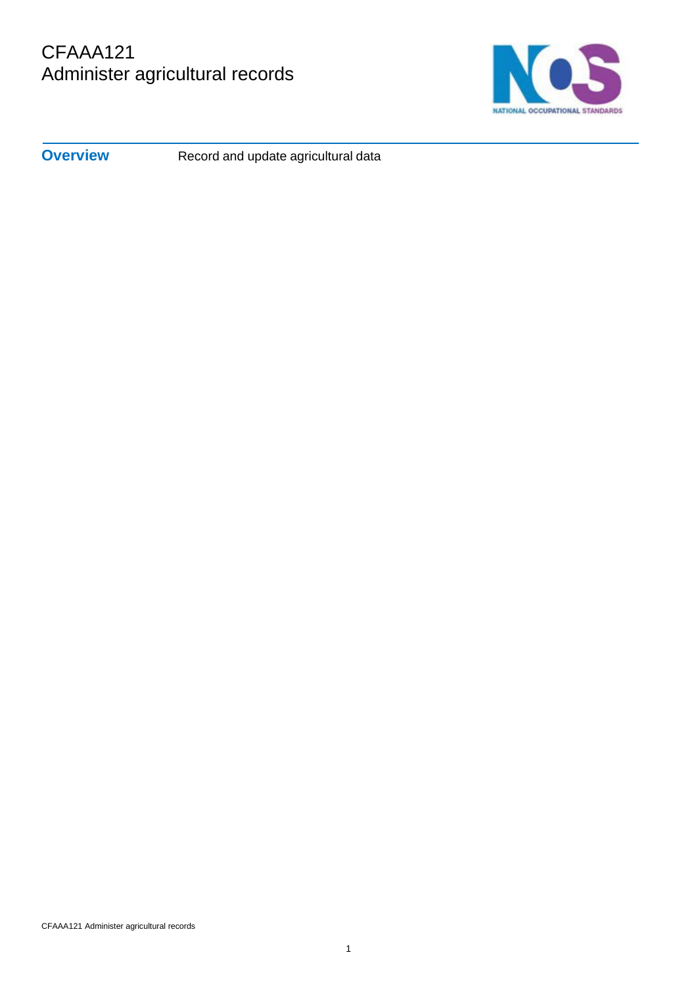# CFAAA121 Administer agricultural records



**Overview** Record and update agricultural data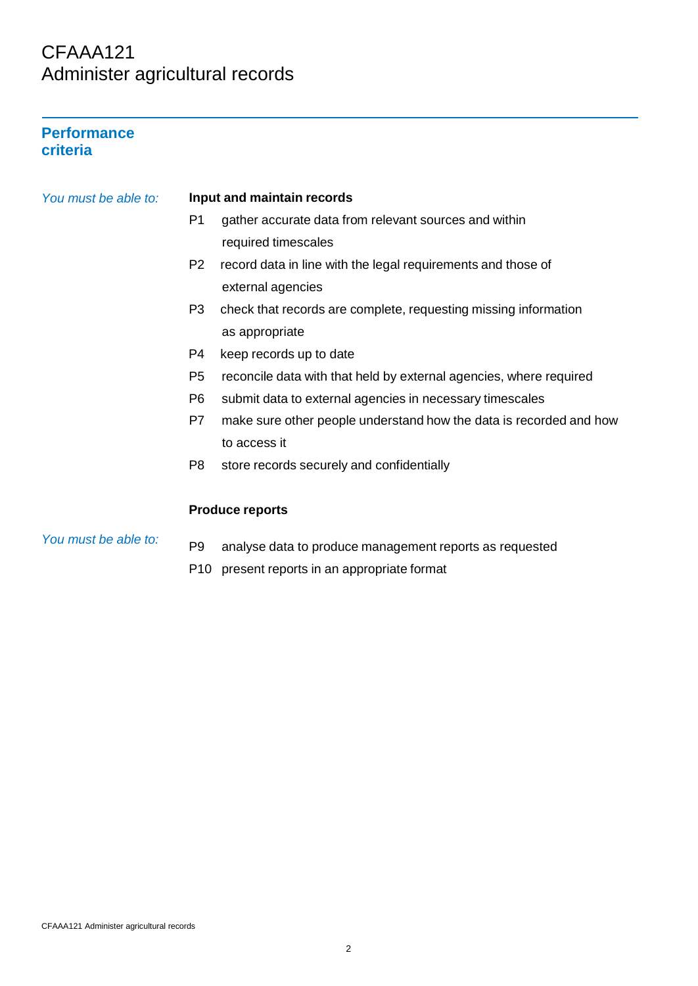## CFAAA121 Administer agricultural records

#### **Performance criteria**

| You must be able to: | Input and maintain records |                                                                    |  |
|----------------------|----------------------------|--------------------------------------------------------------------|--|
|                      | P <sub>1</sub>             | gather accurate data from relevant sources and within              |  |
|                      |                            | required timescales                                                |  |
|                      | P <sub>2</sub>             | record data in line with the legal requirements and those of       |  |
|                      |                            | external agencies                                                  |  |
|                      | P <sub>3</sub>             | check that records are complete, requesting missing information    |  |
|                      |                            | as appropriate                                                     |  |
|                      | P4                         | keep records up to date                                            |  |
|                      | P <sub>5</sub>             | reconcile data with that held by external agencies, where required |  |
|                      | P <sub>6</sub>             | submit data to external agencies in necessary timescales           |  |
|                      | P7                         | make sure other people understand how the data is recorded and how |  |
|                      |                            | to access it                                                       |  |
|                      | P8                         | store records securely and confidentially                          |  |
|                      |                            |                                                                    |  |
|                      |                            | <b>Produce reports</b>                                             |  |
| You must be able to: | P <sub>9</sub>             | analyse data to produce management reports as requested            |  |

P10 present reports in an appropriate format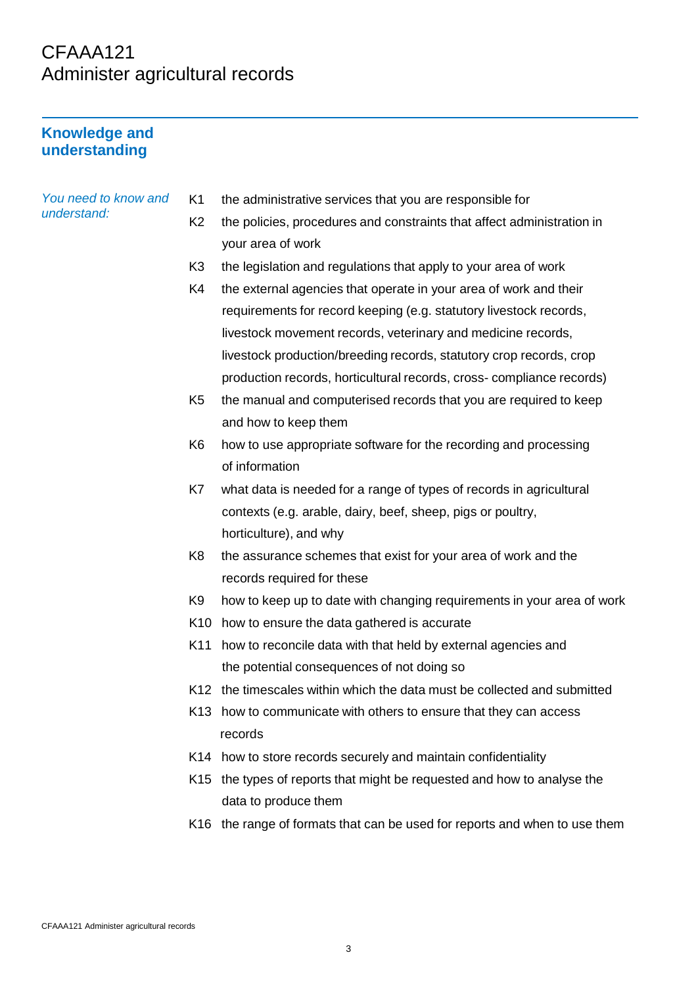# CFAAA121 Administer agricultural records

## **Knowledge and understanding**

| You need to know and | K <sub>1</sub>  | the administrative services that you are responsible for                   |
|----------------------|-----------------|----------------------------------------------------------------------------|
| understand:          | K <sub>2</sub>  | the policies, procedures and constraints that affect administration in     |
|                      |                 | your area of work                                                          |
|                      | K <sub>3</sub>  | the legislation and regulations that apply to your area of work            |
|                      | K4              | the external agencies that operate in your area of work and their          |
|                      |                 | requirements for record keeping (e.g. statutory livestock records,         |
|                      |                 | livestock movement records, veterinary and medicine records,               |
|                      |                 | livestock production/breeding records, statutory crop records, crop        |
|                      |                 | production records, horticultural records, cross-compliance records)       |
|                      | K <sub>5</sub>  | the manual and computerised records that you are required to keep          |
|                      |                 | and how to keep them                                                       |
|                      | K <sub>6</sub>  | how to use appropriate software for the recording and processing           |
|                      |                 | of information                                                             |
|                      | K7              | what data is needed for a range of types of records in agricultural        |
|                      |                 | contexts (e.g. arable, dairy, beef, sheep, pigs or poultry,                |
|                      |                 | horticulture), and why                                                     |
|                      | K <sub>8</sub>  | the assurance schemes that exist for your area of work and the             |
|                      |                 | records required for these                                                 |
|                      | K <sub>9</sub>  | how to keep up to date with changing requirements in your area of work     |
|                      | K <sub>10</sub> | how to ensure the data gathered is accurate                                |
|                      | K11             | how to reconcile data with that held by external agencies and              |
|                      |                 | the potential consequences of not doing so                                 |
|                      |                 | K12 the timescales within which the data must be collected and submitted   |
|                      |                 | K13 how to communicate with others to ensure that they can access          |
|                      |                 | records                                                                    |
|                      |                 | K14 how to store records securely and maintain confidentiality             |
|                      |                 | K15 the types of reports that might be requested and how to analyse the    |
|                      |                 | data to produce them                                                       |
|                      |                 | K16 the range of formats that can be used for reports and when to use them |
|                      |                 |                                                                            |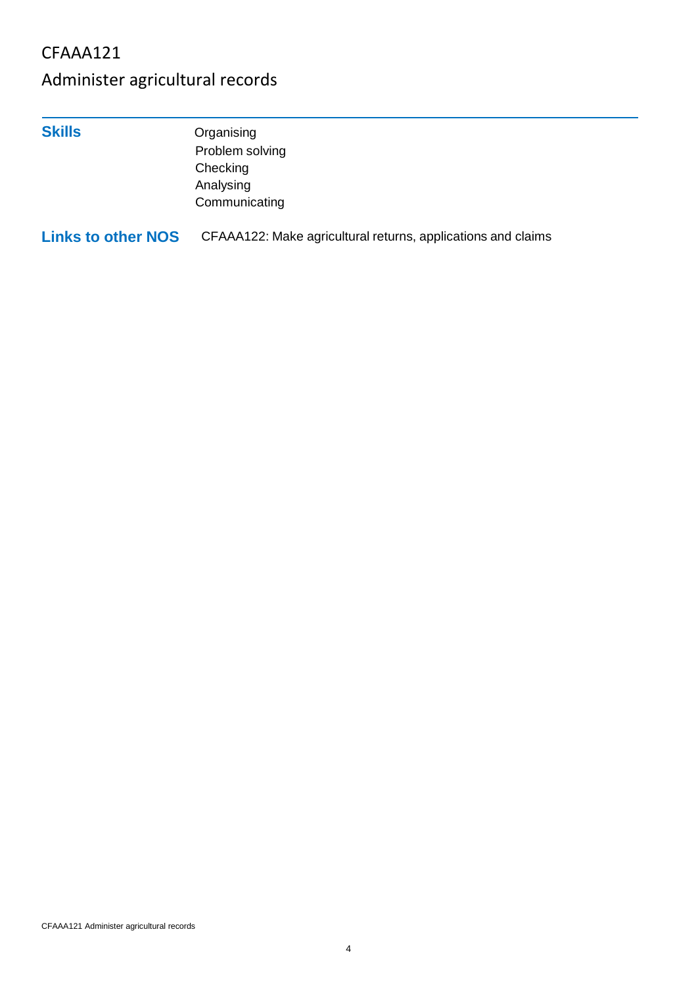## CFAAA121

# Administer agricultural records

**Skills** Organising Problem solving **Checking** Analysing **Communicating** 

**Links to other NOS** CFAAA122: Make agricultural returns, applications and claims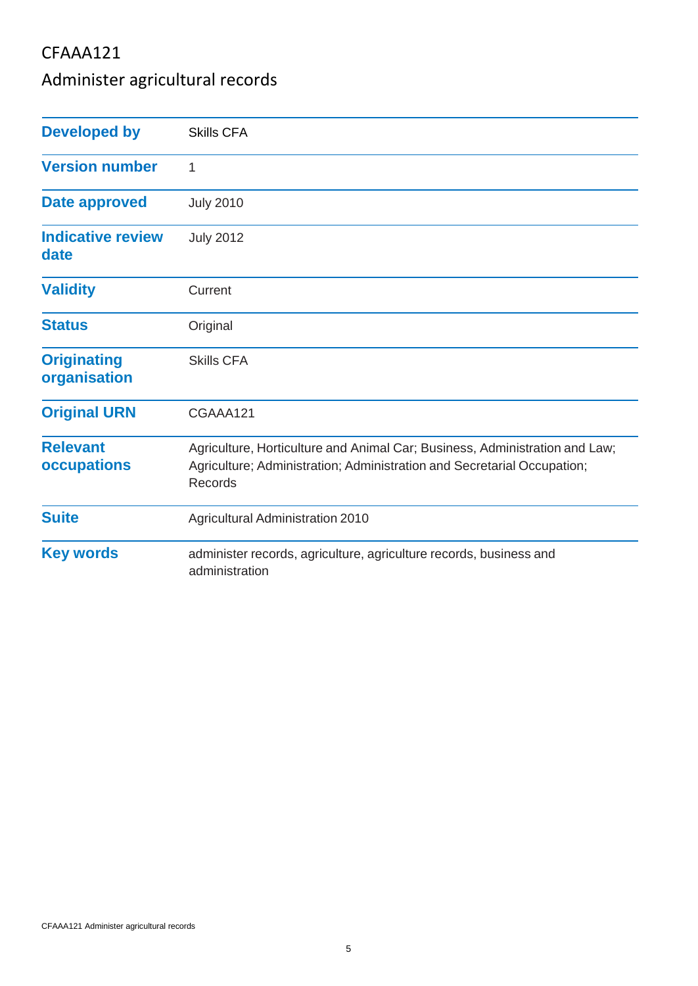## CFAAA121

# Administer agricultural records

| <b>Developed by</b>                | <b>Skills CFA</b>                                                                                                                                                 |
|------------------------------------|-------------------------------------------------------------------------------------------------------------------------------------------------------------------|
| <b>Version number</b>              | 1                                                                                                                                                                 |
| <b>Date approved</b>               | <b>July 2010</b>                                                                                                                                                  |
| <b>Indicative review</b><br>date   | <b>July 2012</b>                                                                                                                                                  |
| <b>Validity</b>                    | Current                                                                                                                                                           |
| <b>Status</b>                      | Original                                                                                                                                                          |
| <b>Originating</b><br>organisation | <b>Skills CFA</b>                                                                                                                                                 |
| <b>Original URN</b>                | CGAAA121                                                                                                                                                          |
| <b>Relevant</b><br>occupations     | Agriculture, Horticulture and Animal Car; Business, Administration and Law;<br>Agriculture; Administration; Administration and Secretarial Occupation;<br>Records |
| <b>Suite</b>                       | <b>Agricultural Administration 2010</b>                                                                                                                           |
| <b>Key words</b>                   | administer records, agriculture, agriculture records, business and<br>administration                                                                              |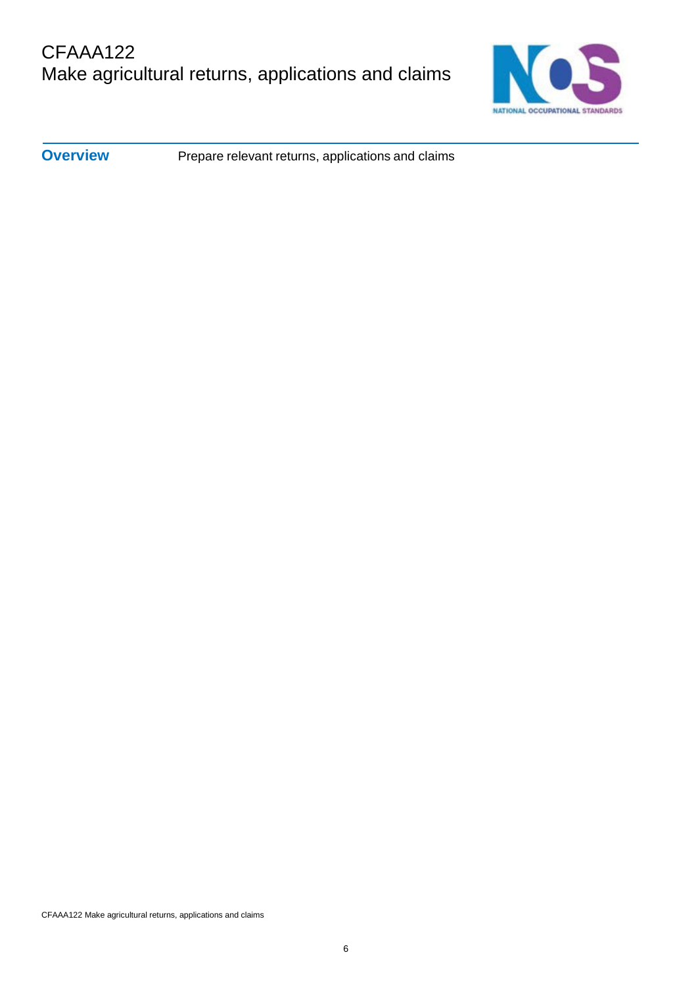

**Overview** Prepare relevant returns, applications and claims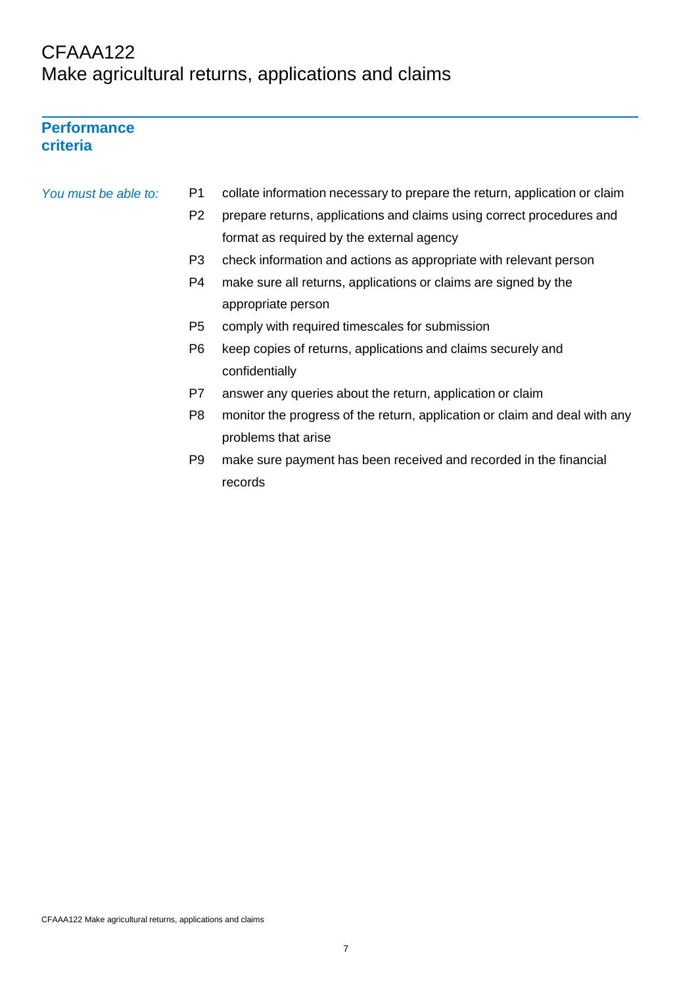## CFAAA122 Make agricultural returns, applications and claims

## **Performance criteria**

#### *You must be able to:* P1 collate information necessary to prepare the return, application or claim

- P2 prepare returns, applications and claims using correct procedures and format as required by the external agency
- P3 check information and actions as appropriate with relevant person
- P4 make sure all returns, applications or claims are signed by the appropriate person
- P5 comply with required timescales for submission
- P6 keep copies of returns, applications and claims securely and confidentially
- P7 answer any queries about the return, application or claim
- P8 monitor the progress of the return, application or claim and deal with any problems that arise
- P9 make sure payment has been received and recorded in the financial records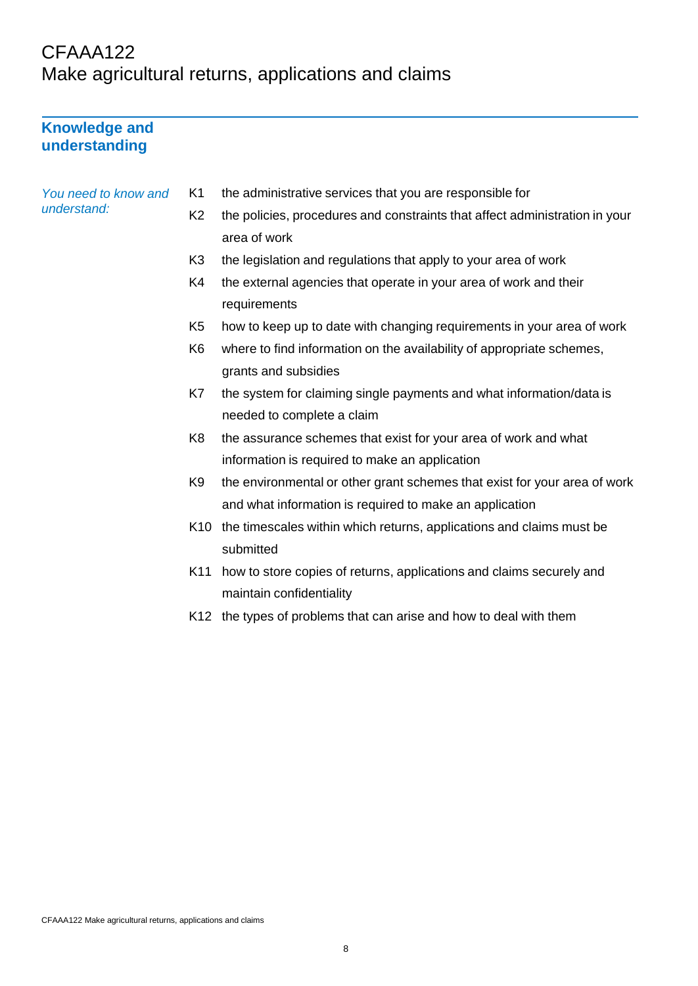## CFAAA122 Make agricultural returns, applications and claims

## **Knowledge and understanding**

*You need to know understand:*

|  |  | and K1 the administrative services that you are responsible for |
|--|--|-----------------------------------------------------------------|
|--|--|-----------------------------------------------------------------|

- K2 the policies, procedures and constraints that affect administration in your area of work
- K3 the legislation and regulations that apply to your area of work
- K4 the external agencies that operate in your area of work and their requirements
- K5 how to keep up to date with changing requirements in your area of work
- K6 where to find information on the availability of appropriate schemes, grants and subsidies
- K7 the system for claiming single payments and what information/data is needed to complete a claim
- K8 the assurance schemes that exist for your area of work and what information is required to make an application
- K9 the environmental or other grant schemes that exist for your area of work and what information is required to make an application
- K10 the timescales within which returns, applications and claims must be submitted
- K11 how to store copies of returns, applications and claims securely and maintain confidentiality
- K12 the types of problems that can arise and how to deal with them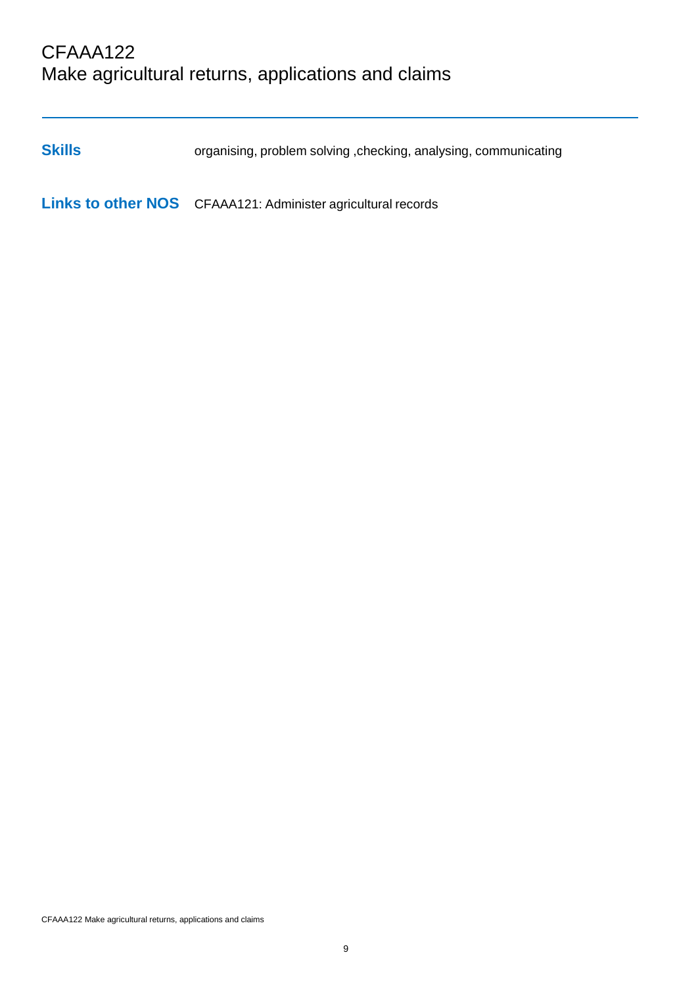## CFAAA122 Make agricultural returns, applications and claims

**Skills** organising, problem solving , checking, analysing, communicating

**Links to other NOS** CFAAA121: Administer agricultural records